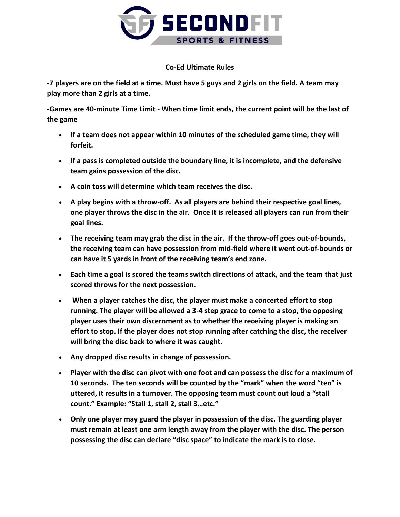

## **Co-Ed Ultimate Rules**

**-7 players are on the field at a time. Must have 5 guys and 2 girls on the field. A team may play more than 2 girls at a time.** 

**-Games are 40-minute Time Limit - When time limit ends, the current point will be the last of the game**

- **If a team does not appear within 10 minutes of the scheduled game time, they will forfeit.**
- **If a pass is completed outside the boundary line, it is incomplete, and the defensive team gains possession of the disc.**
- **A coin toss will determine which team receives the disc.**
- **A play begins with a throw-off. As all players are behind their respective goal lines, one player throws the disc in the air. Once it is released all players can run from their goal lines.**
- **The receiving team may grab the disc in the air. If the throw-off goes out-of-bounds, the receiving team can have possession from mid-field where it went out-of-bounds or can have it 5 yards in front of the receiving team's end zone.**
- **Each time a goal is scored the teams switch directions of attack, and the team that just scored throws for the next possession.**
- **When a player catches the disc, the player must make a concerted effort to stop running. The player will be allowed a 3-4 step grace to come to a stop, the opposing player uses their own discernment as to whether the receiving player is making an effort to stop. If the player does not stop running after catching the disc, the receiver will bring the disc back to where it was caught.**
- **Any dropped disc results in change of possession.**
- **Player with the disc can pivot with one foot and can possess the disc for a maximum of 10 seconds. The ten seconds will be counted by the "mark" when the word "ten" is uttered, it results in a turnover. The opposing team must count out loud a "stall count." Example: "Stall 1, stall 2, stall 3…etc."**
- **Only one player may guard the player in possession of the disc. The guarding player must remain at least one arm length away from the player with the disc. The person possessing the disc can declare "disc space" to indicate the mark is to close.**